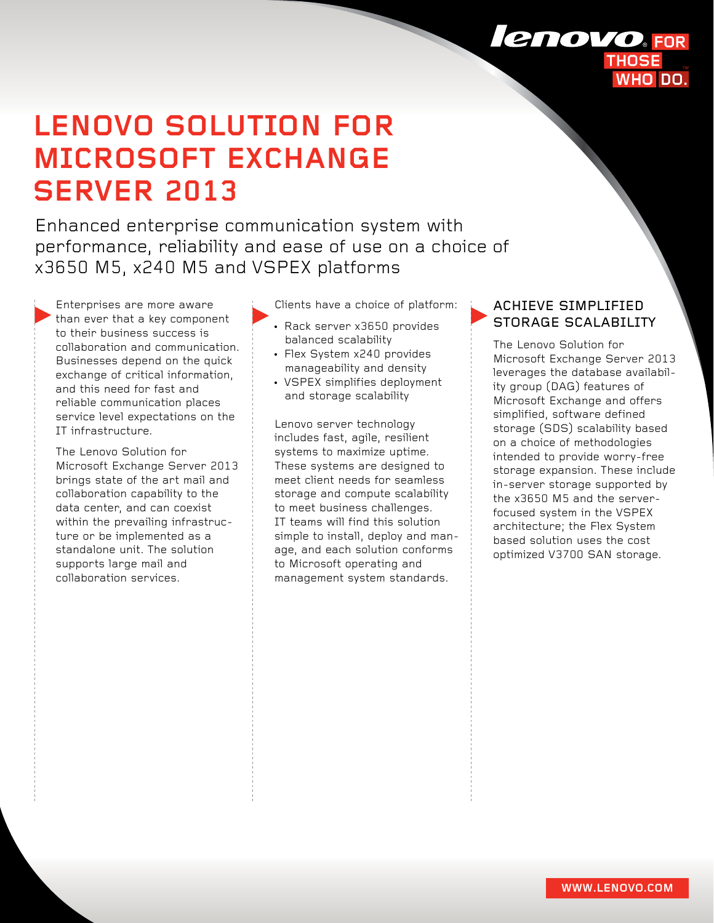# **LENOVO SOLUTION FOR MICROSOFT EXCHANGE SERVER 2013**

Enhanced enterprise communication system with performance, reliability and ease of use on a choice of x3650 M5, x240 M5 and VSPEX platforms

Enterprises are more aware than ever that a key component to their business success is collaboration and communication. Businesses depend on the quick exchange of critical information, and this need for fast and reliable communication places service level expectations on the IT infrastructure.

The Lenovo Solution for Microsoft Exchange Server 2013 brings state of the art mail and collaboration capability to the data center, and can coexist within the prevailing infrastructure or be implemented as a standalone unit. The solution supports large mail and collaboration services.

Clients have a choice of platform:

- Rack server x3650 provides balanced scalability
- Flex System x240 provides manageability and density
- VSPEX simplifies deployment and storage scalability

Lenovo server technology includes fast, agile, resilient systems to maximize uptime. These systems are designed to meet client needs for seamless storage and compute scalability to meet business challenges. IT teams will find this solution simple to install, deploy and manage, and each solution conforms to Microsoft operating and management system standards.

### ACHIEVE SIMPLIFIED STORAGE SCALABILITY

The Lenovo Solution for Microsoft Exchange Server 2013 leverages the database availability group (DAG) features of Microsoft Exchange and offers simplified, software defined storage (SDS) scalability based on a choice of methodologies intended to provide worry-free storage expansion. These include in-server storage supported by the x3650 M5 and the serverfocused system in the VSPEX architecture; the Flex System based solution uses the cost optimized V3700 SAN storage.

## lenovo **FOR**

WHO DO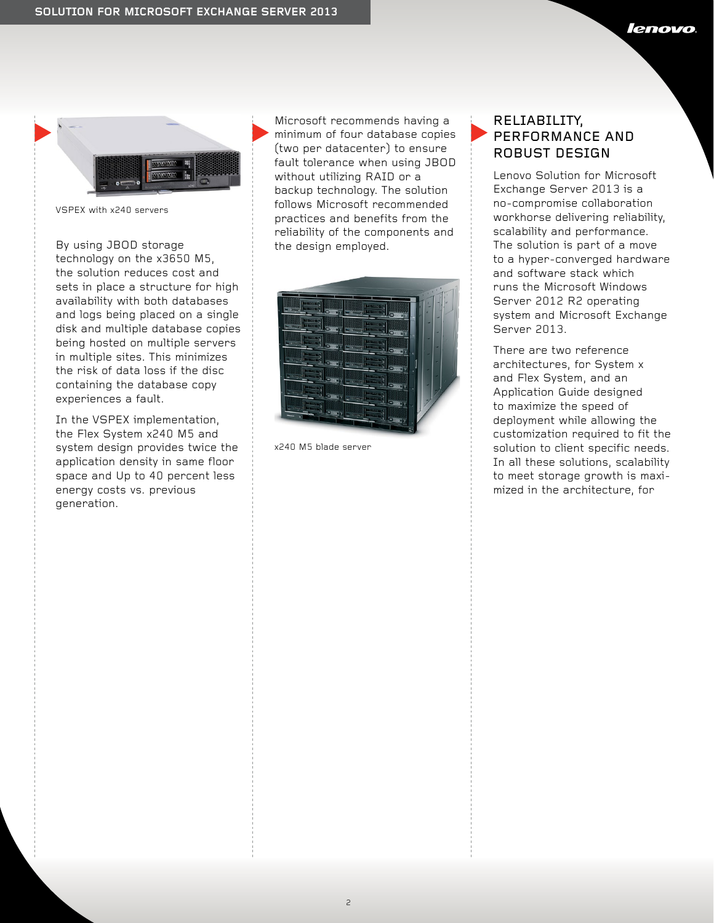

VSPEX with x240 servers

By using JBOD storage technology on the x3650 M5, the solution reduces cost and sets in place a structure for high availability with both databases and logs being placed on a single disk and multiple database copies being hosted on multiple servers in multiple sites. This minimizes the risk of data loss if the disc containing the database copy experiences a fault.

In the VSPEX implementation, the Flex System x240 M5 and system design provides twice the application density in same floor space and Up to 40 percent less energy costs vs. previous generation.

Microsoft recommends having a minimum of four database copies (two per datacenter) to ensure fault tolerance when using JBOD without utilizing RAID or a backup technology. The solution follows Microsoft recommended practices and benefits from the reliability of the components and the design employed.

|                                              | ×<br>×<br>٠ |
|----------------------------------------------|-------------|
| ٠                                            |             |
| <b>STORY</b><br><b>ALCOHOL:</b>              |             |
| 16                                           | π           |
| ø<br><b>Little City</b>                      |             |
| <b>Nicology</b><br><b>Allied Date</b>        |             |
| <b>COOST</b>                                 |             |
| <b>MARGARET</b><br><b>A</b> Long of <b>L</b> |             |
| <b>Secretary</b>                             |             |
| <b>STATISTICS</b>                            |             |
|                                              | ٠           |
|                                              |             |
| a Barriotta<br><b>DATE</b>                   |             |
|                                              |             |
| <b>RESIDE</b>                                |             |
| <b>TEFR</b><br>c                             |             |
|                                              |             |
|                                              |             |
|                                              |             |
|                                              |             |
|                                              |             |

x240 M5 blade server

#### RELIABILITY, PERFORMANCE AND ROBUST DESIGN

Lenovo Solution for Microsoft Exchange Server 2013 is a no-compromise collaboration workhorse delivering reliability, scalability and performance. The solution is part of a move to a hyper-converged hardware and software stack which runs the Microsoft Windows Server 2012 R2 operating system and Microsoft Exchange Server 2013.

There are two reference architectures, for System x and Flex System, and an Application Guide designed to maximize the speed of deployment while allowing the customization required to fit the solution to client specific needs. In all these solutions, scalability to meet storage growth is maximized in the architecture, for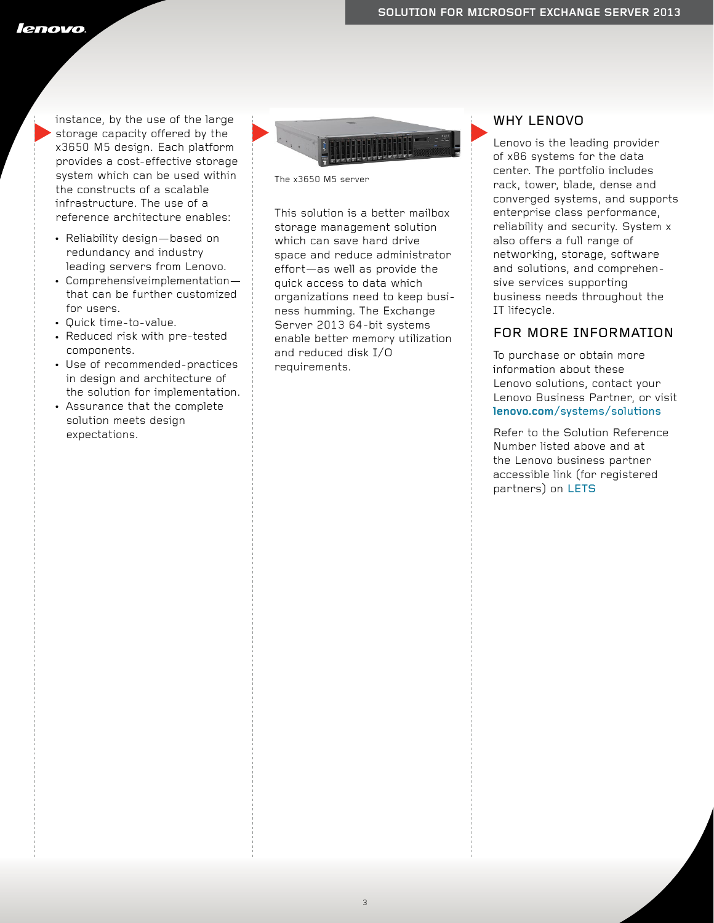lenovo

instance, by the use of the large storage capacity offered by the x3650 M5 design. Each platform provides a cost-effective storage system which can be used within the constructs of a scalable infrastructure. The use of a reference architecture enables:

- Reliability design—based on redundancy and industry leading servers from Lenovo.
- $\cdot$  Comprehensive implementation that can be further customized for users.
- Quick time-to-value.
- Reduced risk with pre-tested components.
- Use of recommended-practices in design and architecture of the solution for implementation.
- Assurance that the complete solution meets design expectations.



The x3650 M5 server

This solution is a better mailbox storage management solution which can save hard drive space and reduce administrator effort—as well as provide the quick access to data which organizations need to keep business humming. The Exchange Server 2013 64-bit systems enable better memory utilization and reduced disk I/O requirements.

#### WHY LENOVO

Lenovo is the leading provider of x86 systems for the data center. The portfolio includes rack, tower, blade, dense and converged systems, and supports enterprise class performance, reliability and security. System x also offers a full range of networking, storage, software and solutions, and comprehensive services supporting business needs throughout the IT lifecycle.

#### FOR MORE INFORMATION

To purchase or obtain more information about these Lenovo solutions, contact your Lenovo Business Partner, or visit **lenovo.com**[/systems/solutions](http://www.lenovo.com/systems/solutions)

Refer to the Solution Reference Number listed above and at the Lenovo business partner accessible link (for registered partners) on [LETS](http://lets.lenovo.com/solutions/virtualization.html)